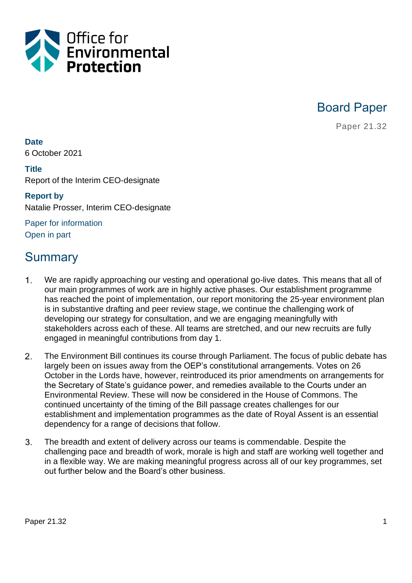

Board Paper

Paper 21.32

**Date** 6 October 2021

#### **Title**

Report of the Interim CEO-designate

## **Report by** Natalie Prosser, Interim CEO-designate

Paper for information Open in part

## Summary

- 1. We are rapidly approaching our vesting and operational go-live dates. This means that all of our main programmes of work are in highly active phases. Our establishment programme has reached the point of implementation, our report monitoring the 25-year environment plan is in substantive drafting and peer review stage, we continue the challenging work of developing our strategy for consultation, and we are engaging meaningfully with stakeholders across each of these. All teams are stretched, and our new recruits are fully engaged in meaningful contributions from day 1.
- $2.$ The Environment Bill continues its course through Parliament. The focus of public debate has largely been on issues away from the OEP's constitutional arrangements. Votes on 26 October in the Lords have, however, reintroduced its prior amendments on arrangements for the Secretary of State's guidance power, and remedies available to the Courts under an Environmental Review. These will now be considered in the House of Commons. The continued uncertainty of the timing of the Bill passage creates challenges for our establishment and implementation programmes as the date of Royal Assent is an essential dependency for a range of decisions that follow.
- $3<sub>1</sub>$ The breadth and extent of delivery across our teams is commendable. Despite the challenging pace and breadth of work, morale is high and staff are working well together and in a flexible way. We are making meaningful progress across all of our key programmes, set out further below and the Board's other business.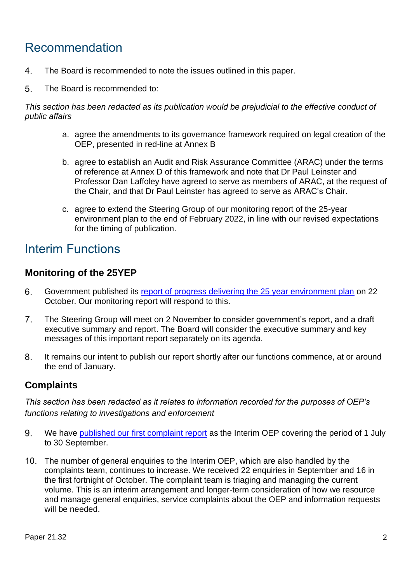# Recommendation

- 4. The Board is recommended to note the issues outlined in this paper.
- 5. The Board is recommended to:

*This section has been redacted as its publication would be prejudicial to the effective conduct of public affairs*

- a. agree the amendments to its governance framework required on legal creation of the OEP, presented in red-line at Annex B
- b. agree to establish an Audit and Risk Assurance Committee (ARAC) under the terms of reference at Annex D of this framework and note that Dr Paul Leinster and Professor Dan Laffoley have agreed to serve as members of ARAC, at the request of the Chair, and that Dr Paul Leinster has agreed to serve as ARAC's Chair.
- c. agree to extend the Steering Group of our monitoring report of the 25-year environment plan to the end of February 2022, in line with our revised expectations for the timing of publication.

## Interim Functions

## **Monitoring of the 25YEP**

- 6. Government published its [report of progress delivering the 25 year environment plan](https://www.gov.uk/government/publications/25-year-environment-plan-progress-reports) on 22 October. Our monitoring report will respond to this.
- $7<sub>1</sub>$ The Steering Group will meet on 2 November to consider government's report, and a draft executive summary and report. The Board will consider the executive summary and key messages of this important report separately on its agenda.
- It remains our intent to publish our report shortly after our functions commence, at or around 8. the end of January.

## **Complaints**

*This section has been redacted as it relates to information recorded for the purposes of OEP's functions relating to investigations and enforcement*

- We have [published our first complaint report](https://www.theoep.org.uk/report/first-complaint-report-interim-office-environmental-protection) as the Interim OEP covering the period of 1 July 9. to 30 September.
- 10. The number of general enquiries to the Interim OEP, which are also handled by the complaints team, continues to increase. We received 22 enquiries in September and 16 in the first fortnight of October. The complaint team is triaging and managing the current volume. This is an interim arrangement and longer-term consideration of how we resource and manage general enquiries, service complaints about the OEP and information requests will be needed.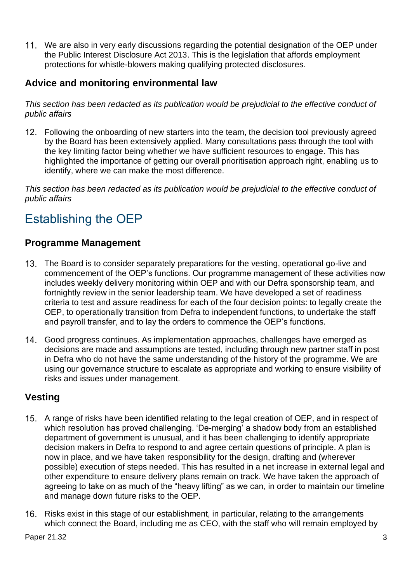We are also in very early discussions regarding the potential designation of the OEP under the Public Interest Disclosure Act 2013. This is the legislation that affords employment protections for whistle-blowers making qualifying protected disclosures.

## **Advice and monitoring environmental law**

*This section has been redacted as its publication would be prejudicial to the effective conduct of public affairs*

12. Following the onboarding of new starters into the team, the decision tool previously agreed by the Board has been extensively applied. Many consultations pass through the tool with the key limiting factor being whether we have sufficient resources to engage. This has highlighted the importance of getting our overall prioritisation approach right, enabling us to identify, where we can make the most difference.

*This section has been redacted as its publication would be prejudicial to the effective conduct of public affairs*

# Establishing the OEP

## **Programme Management**

- The Board is to consider separately preparations for the vesting, operational go-live and commencement of the OEP's functions. Our programme management of these activities now includes weekly delivery monitoring within OEP and with our Defra sponsorship team, and fortnightly review in the senior leadership team. We have developed a set of readiness criteria to test and assure readiness for each of the four decision points: to legally create the OEP, to operationally transition from Defra to independent functions, to undertake the staff and payroll transfer, and to lay the orders to commence the OEP's functions.
- Good progress continues. As implementation approaches, challenges have emerged as decisions are made and assumptions are tested, including through new partner staff in post in Defra who do not have the same understanding of the history of the programme. We are using our governance structure to escalate as appropriate and working to ensure visibility of risks and issues under management.

## **Vesting**

- 15. A range of risks have been identified relating to the legal creation of OEP, and in respect of which resolution has proved challenging. 'De-merging' a shadow body from an established department of government is unusual, and it has been challenging to identify appropriate decision makers in Defra to respond to and agree certain questions of principle. A plan is now in place, and we have taken responsibility for the design, drafting and (wherever possible) execution of steps needed. This has resulted in a net increase in external legal and other expenditure to ensure delivery plans remain on track. We have taken the approach of agreeing to take on as much of the "heavy lifting" as we can, in order to maintain our timeline and manage down future risks to the OEP.
- 16. Risks exist in this stage of our establishment, in particular, relating to the arrangements which connect the Board, including me as CEO, with the staff who will remain employed by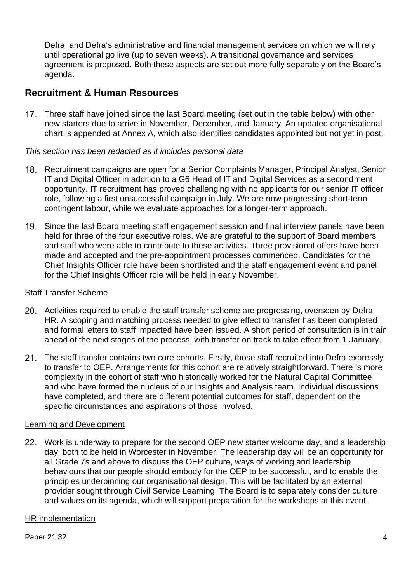Defra, and Defra's administrative and financial management services on which we will rely until operational go live (up to seven weeks). A transitional governance and services agreement is proposed. Both these aspects are set out more fully separately on the Board's agenda.

#### **Recruitment & Human Resources**

17. Three staff have joined since the last Board meeting (set out in the table below) with other new starters due to arrive in November, December, and January. An updated organisational chart is appended at Annex A, which also identifies candidates appointed but not yet in post.

#### *This section has been redacted as it includes personal data*

- 18. Recruitment campaigns are open for a Senior Complaints Manager, Principal Analyst, Senior IT and Digital Officer in addition to a G6 Head of IT and Digital Services as a secondment opportunity. IT recruitment has proved challenging with no applicants for our senior IT officer role, following a first unsuccessful campaign in July. We are now progressing short-term contingent labour, while we evaluate approaches for a longer-term approach.
- 19. Since the last Board meeting staff engagement session and final interview panels have been held for three of the four executive roles. We are grateful to the support of Board members and staff who were able to contribute to these activities. Three provisional offers have been made and accepted and the pre-appointment processes commenced. Candidates for the Chief Insights Officer role have been shortlisted and the staff engagement event and panel for the Chief Insights Officer role will be held in early November.

#### Staff Transfer Scheme

- Activities required to enable the staff transfer scheme are progressing, overseen by Defra HR. A scoping and matching process needed to give effect to transfer has been completed and formal letters to staff impacted have been issued. A short period of consultation is in train ahead of the next stages of the process, with transfer on track to take effect from 1 January.
- 21. The staff transfer contains two core cohorts. Firstly, those staff recruited into Defra expressly to transfer to OEP. Arrangements for this cohort are relatively straightforward. There is more complexity in the cohort of staff who historically worked for the Natural Capital Committee and who have formed the nucleus of our Insights and Analysis team. Individual discussions have completed, and there are different potential outcomes for staff, dependent on the specific circumstances and aspirations of those involved.

#### Learning and Development

22. Work is underway to prepare for the second OEP new starter welcome day, and a leadership day, both to be held in Worcester in November. The leadership day will be an opportunity for all Grade 7s and above to discuss the OEP culture, ways of working and leadership behaviours that our people should embody for the OEP to be successful, and to enable the principles underpinning our organisational design. This will be facilitated by an external provider sought through Civil Service Learning. The Board is to separately consider culture and values on its agenda, which will support preparation for the workshops at this event.

#### HR implementation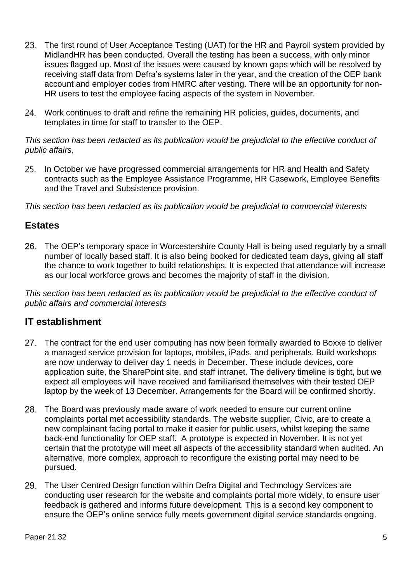- 23. The first round of User Acceptance Testing (UAT) for the HR and Payroll system provided by MidlandHR has been conducted. Overall the testing has been a success, with only minor issues flagged up. Most of the issues were caused by known gaps which will be resolved by receiving staff data from Defra's systems later in the year, and the creation of the OEP bank account and employer codes from HMRC after vesting. There will be an opportunity for non-HR users to test the employee facing aspects of the system in November.
- 24. Work continues to draft and refine the remaining HR policies, guides, documents, and templates in time for staff to transfer to the OEP.

#### *This section has been redacted as its publication would be prejudicial to the effective conduct of public affairs,*

25. In October we have progressed commercial arrangements for HR and Health and Safety contracts such as the Employee Assistance Programme, HR Casework, Employee Benefits and the Travel and Subsistence provision.

*This section has been redacted as its publication would be prejudicial to commercial interests*

## **Estates**

The OEP's temporary space in Worcestershire County Hall is being used regularly by a small number of locally based staff. It is also being booked for dedicated team days, giving all staff the chance to work together to build relationships. It is expected that attendance will increase as our local workforce grows and becomes the majority of staff in the division.

*This section has been redacted as its publication would be prejudicial to the effective conduct of public affairs and commercial interests*

## **IT establishment**

- 27. The contract for the end user computing has now been formally awarded to Boxxe to deliver a managed service provision for laptops, mobiles, iPads, and peripherals. Build workshops are now underway to deliver day 1 needs in December. These include devices, core application suite, the SharePoint site, and staff intranet. The delivery timeline is tight, but we expect all employees will have received and familiarised themselves with their tested OEP laptop by the week of 13 December. Arrangements for the Board will be confirmed shortly.
- 28. The Board was previously made aware of work needed to ensure our current online complaints portal met accessibility standards. The website supplier, Civic, are to create a new complainant facing portal to make it easier for public users, whilst keeping the same back-end functionality for OEP staff. A prototype is expected in November. It is not yet certain that the prototype will meet all aspects of the accessibility standard when audited. An alternative, more complex, approach to reconfigure the existing portal may need to be pursued.
- 29. The User Centred Design function within Defra Digital and Technology Services are conducting user research for the website and complaints portal more widely, to ensure user feedback is gathered and informs future development. This is a second key component to ensure the OEP's online service fully meets government digital service standards ongoing.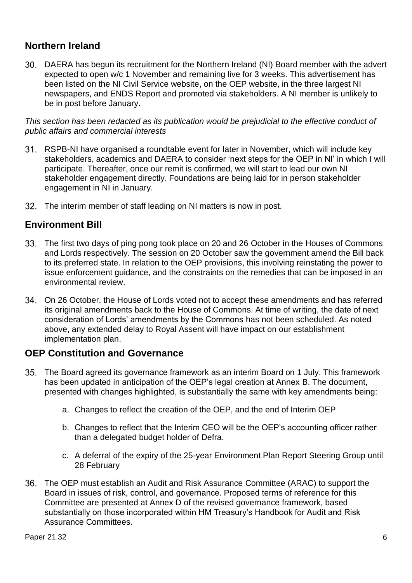## **Northern Ireland**

DAERA has begun its recruitment for the Northern Ireland (NI) Board member with the advert expected to open w/c 1 November and remaining live for 3 weeks. This advertisement has been listed on the NI Civil Service website, on the OEP website, in the three largest NI newspapers, and ENDS Report and promoted via stakeholders. A NI member is unlikely to be in post before January.

*This section has been redacted as its publication would be prejudicial to the effective conduct of public affairs and commercial interests*

- RSPB-NI have organised a roundtable event for later in November, which will include key stakeholders, academics and DAERA to consider 'next steps for the OEP in NI' in which I will participate. Thereafter, once our remit is confirmed, we will start to lead our own NI stakeholder engagement directly. Foundations are being laid for in person stakeholder engagement in NI in January.
- 32. The interim member of staff leading on NI matters is now in post.

#### **Environment Bill**

- The first two days of ping pong took place on 20 and 26 October in the Houses of Commons and Lords respectively. The session on 20 October saw the government amend the Bill back to its preferred state. In relation to the OEP provisions, this involving reinstating the power to issue enforcement guidance, and the constraints on the remedies that can be imposed in an environmental review.
- On 26 October, the House of Lords voted not to accept these amendments and has referred its original amendments back to the House of Commons. At time of writing, the date of next consideration of Lords' amendments by the Commons has not been scheduled. As noted above, any extended delay to Royal Assent will have impact on our establishment implementation plan.

#### **OEP Constitution and Governance**

- The Board agreed its governance framework as an interim Board on 1 July. This framework has been updated in anticipation of the OEP's legal creation at Annex B. The document, presented with changes highlighted, is substantially the same with key amendments being:
	- a. Changes to reflect the creation of the OEP, and the end of Interim OEP
	- b. Changes to reflect that the Interim CEO will be the OEP's accounting officer rather than a delegated budget holder of Defra.
	- c. A deferral of the expiry of the 25-year Environment Plan Report Steering Group until 28 February
- The OEP must establish an Audit and Risk Assurance Committee (ARAC) to support the Board in issues of risk, control, and governance. Proposed terms of reference for this Committee are presented at Annex D of the revised governance framework, based substantially on those incorporated within HM Treasury's Handbook for Audit and Risk Assurance Committees.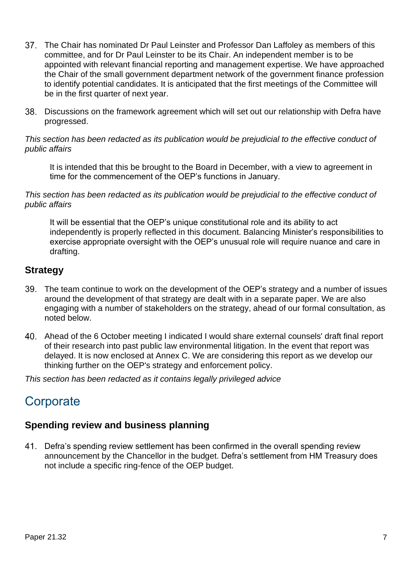- 37. The Chair has nominated Dr Paul Leinster and Professor Dan Laffoley as members of this committee, and for Dr Paul Leinster to be its Chair. An independent member is to be appointed with relevant financial reporting and management expertise. We have approached the Chair of the small government department network of the government finance profession to identify potential candidates. It is anticipated that the first meetings of the Committee will be in the first quarter of next year.
- Discussions on the framework agreement which will set out our relationship with Defra have progressed.

#### *This section has been redacted as its publication would be prejudicial to the effective conduct of public affairs*

It is intended that this be brought to the Board in December, with a view to agreement in time for the commencement of the OEP's functions in January.

#### *This section has been redacted as its publication would be prejudicial to the effective conduct of public affairs*

It will be essential that the OEP's unique constitutional role and its ability to act independently is properly reflected in this document. Balancing Minister's responsibilities to exercise appropriate oversight with the OEP's unusual role will require nuance and care in drafting.

## **Strategy**

- The team continue to work on the development of the OEP's strategy and a number of issues around the development of that strategy are dealt with in a separate paper. We are also engaging with a number of stakeholders on the strategy, ahead of our formal consultation, as noted below.
- Ahead of the 6 October meeting I indicated I would share external counsels' draft final report of their research into past public law environmental litigation. In the event that report was delayed. It is now enclosed at Annex C. We are considering this report as we develop our thinking further on the OEP's strategy and enforcement policy.

*This section has been redacted as it contains legally privileged advice*

# **Corporate**

## **Spending review and business planning**

Defra's spending review settlement has been confirmed in the overall spending review announcement by the Chancellor in the budget. Defra's settlement from HM Treasury does not include a specific ring-fence of the OEP budget.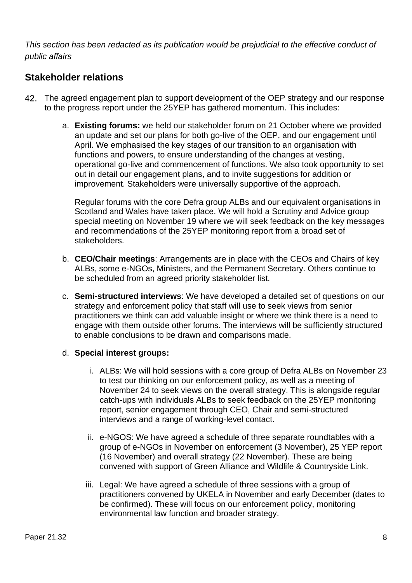*This section has been redacted as its publication would be prejudicial to the effective conduct of public affairs*

## **Stakeholder relations**

- The agreed engagement plan to support development of the OEP strategy and our response to the progress report under the 25YEP has gathered momentum. This includes:
	- a. **Existing forums:** we held our stakeholder forum on 21 October where we provided an update and set our plans for both go-live of the OEP, and our engagement until April. We emphasised the key stages of our transition to an organisation with functions and powers, to ensure understanding of the changes at vesting, operational go-live and commencement of functions. We also took opportunity to set out in detail our engagement plans, and to invite suggestions for addition or improvement. Stakeholders were universally supportive of the approach.

Regular forums with the core Defra group ALBs and our equivalent organisations in Scotland and Wales have taken place. We will hold a Scrutiny and Advice group special meeting on November 19 where we will seek feedback on the key messages and recommendations of the 25YEP monitoring report from a broad set of stakeholders.

- b. **CEO/Chair meetings**: Arrangements are in place with the CEOs and Chairs of key ALBs, some e-NGOs, Ministers, and the Permanent Secretary. Others continue to be scheduled from an agreed priority stakeholder list.
- c. **Semi-structured interviews**: We have developed a detailed set of questions on our strategy and enforcement policy that staff will use to seek views from senior practitioners we think can add valuable insight or where we think there is a need to engage with them outside other forums. The interviews will be sufficiently structured to enable conclusions to be drawn and comparisons made.

#### d. **Special interest groups:**

- i. ALBs: We will hold sessions with a core group of Defra ALBs on November 23 to test our thinking on our enforcement policy, as well as a meeting of November 24 to seek views on the overall strategy. This is alongside regular catch-ups with individuals ALBs to seek feedback on the 25YEP monitoring report, senior engagement through CEO, Chair and semi-structured interviews and a range of working-level contact.
- ii. e-NGOS: We have agreed a schedule of three separate roundtables with a group of e-NGOs in November on enforcement (3 November), 25 YEP report (16 November) and overall strategy (22 November). These are being convened with support of Green Alliance and Wildlife & Countryside Link.
- iii. Legal: We have agreed a schedule of three sessions with a group of practitioners convened by UKELA in November and early December (dates to be confirmed). These will focus on our enforcement policy, monitoring environmental law function and broader strategy.